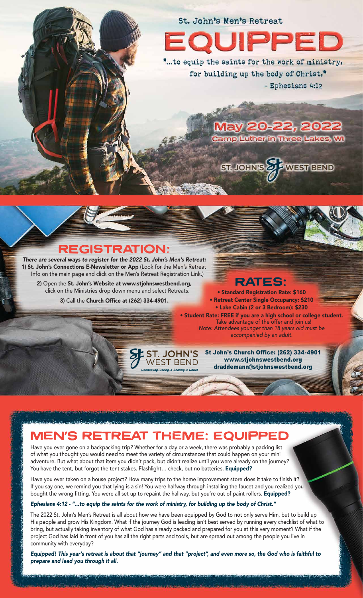# St. John's Men's Retreat PED

... to equip the saints for the work of ministry, for building up the body of Christ,<sup>®</sup> - Ephesians 4:12

> ay 20-22, 2022 amp Luther in Three Lakes, WI



#### REGISTRATION:

*There are several ways to register for the 2022 St. John's Men's Retreat:*  1) St. John's Connections E-Newsletter or App (Look for the Men's Retreat Info on the main page and click on the Men's Retreat Registration Link.)

2) Open the St. John's Website at www.stjohnswestbend.org, click on the Ministries drop down menu and select Retreats.

3) Call the Church Office at (262) 334-4901.

**RATES:** 

• Standard Registration Rate: \$160 • Retreat Center Single Occupancy: \$210 • Lake Cabin (2 or 3 Bedroom): \$230 • Student Rate: FREE if you are a high school or college student. Take advantage of the offer and join us! *Note: Attendees younger than 18 years old must be accompanied by an adult.*

> St John's Church Office: (262) 334-4901 www.stjohnswestbend.org draddemann@stjohnswestbend.org

## MEN'S RETREAT THEME: EQUIPPED

ST. JOHN'S WEST BEND

Have you ever gone on a backpacking trip? Whether for a day or a week, there was probably a packing list of what you thought you would need to meet the variety of circumstances that could happen on your mini adventure. But what about that item you didn't pack, but didn't realize until you were already on the journey? You have the tent, but forgot the tent stakes. Flashlight... check, but no batteries. Equipped?

Have you ever taken on a house project? How many trips to the home improvement store does it take to finish it? If you say one, we remind you that lying is a sin! You were halfway through installing the faucet and you realized you bought the wrong fitting. You were all set up to repaint the hallway, but you're out of paint rollers. Equipped?

#### *Ephesians 4:12 - "...to equip the saints for the work of ministry, for building up the body of Christ."*

The 2022 St. John's Men's Retreat is all about how we have been equipped by God to not only serve Him, but to build up His people and grow His Kingdom. What if the journey God is leading isn't best served by running every checklist of what to bring, but actually taking inventory of what God has already packed and prepared for you at this very moment? What if the project God has laid in front of you has all the right parts and tools, but are spread out among the people you live in community with everyday?

*Equipped! This year's retreat is about that "journey" and that "project", and even more so, the God who is faithful to prepare and lead you through it all.*